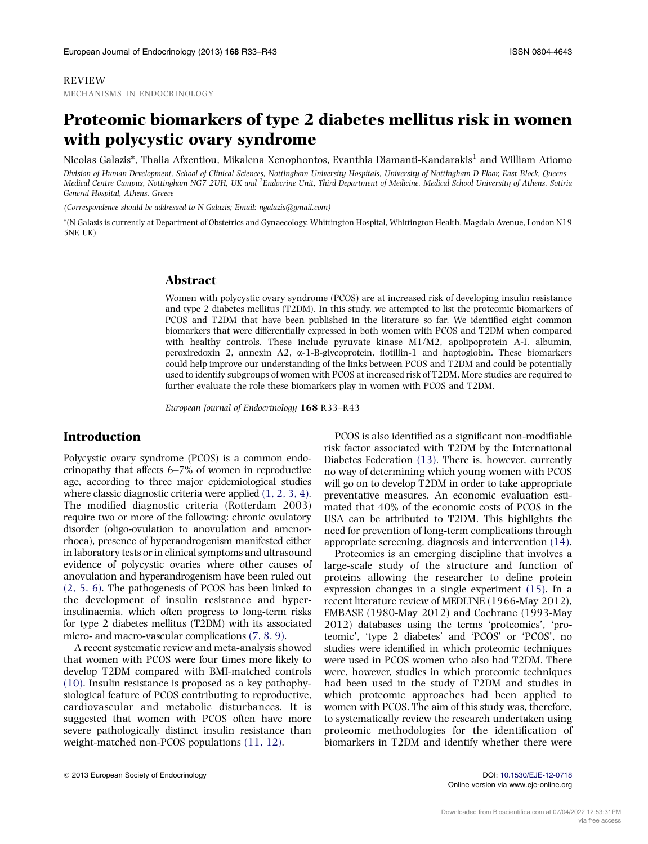#### REVIEW MECHANISMS IN ENDOCRINOLOGY

# Proteomic biomarkers of type 2 diabetes mellitus risk in women with polycystic ovary syndrome

Nicolas Galazis\*, Thalia Afxentiou, Mikalena Xenophontos, Evanthia Diamanti-Kandarakis<sup>1</sup> and William Atiomo Division of Human Development, School of Clinical Sciences, Nottingham University Hospitals, University of Nottingham D Floor, East Block, Queens Medical Centre Campus, Nottingham NG7 2UH, UK and <sup>1</sup>Endocrine Unit, Third Department of Medicine, Medical School University of Athens, Sotiria General Hospital, Athens, Greece

(Correspondence should be addressed to N Galazis; Email: ngalazis@gmail.com)

\*(N Galazis is currently at Department of Obstetrics and Gynaecology, Whittington Hospital, Whittington Health, Magdala Avenue, London N19 5NF, UK)

#### Abstract

Women with polycystic ovary syndrome (PCOS) are at increased risk of developing insulin resistance and type 2 diabetes mellitus (T2DM). In this study, we attempted to list the proteomic biomarkers of PCOS and T2DM that have been published in the literature so far. We identified eight common biomarkers that were differentially expressed in both women with PCOS and T2DM when compared with healthy controls. These include pyruvate kinase M1/M2, apolipoprotein A-I, albumin, peroxiredoxin 2, annexin A2,  $\alpha$ -1-B-glycoprotein, flotillin-1 and haptoglobin. These biomarkers could help improve our understanding of the links between PCOS and T2DM and could be potentially used to identify subgroups of women with PCOS at increased risk of T2DM. More studies are required to further evaluate the role these biomarkers play in women with PCOS and T2DM.

European Journal of Endocrinology 168 R33–R43

# Introduction

Polycystic ovary syndrome (PCOS) is a common endocrinopathy that affects 6–7% of women in reproductive age, according to three major epidemiological studies where classic diagnostic criteria were applied [\(1, 2, 3, 4\)](#page-9-0). The modified diagnostic criteria (Rotterdam 2003) require two or more of the following: chronic ovulatory disorder (oligo-ovulation to anovulation and amenorrhoea), presence of hyperandrogenism manifested either in laboratory tests or in clinical symptoms and ultrasound evidence of polycystic ovaries where other causes of anovulation and hyperandrogenism have been ruled out [\(2, 5, 6\)](#page-9-0). The pathogenesis of PCOS has been linked to the development of insulin resistance and hyperinsulinaemia, which often progress to long-term risks for type 2 diabetes mellitus (T2DM) with its associated micro- and macro-vascular complications [\(7, 8, 9\)](#page-9-0).

A recent systematic review and meta-analysis showed that women with PCOS were four times more likely to develop T2DM compared with BMI-matched controls [\(10\).](#page-9-0) Insulin resistance is proposed as a key pathophysiological feature of PCOS contributing to reproductive, cardiovascular and metabolic disturbances. It is suggested that women with PCOS often have more severe pathologically distinct insulin resistance than weight-matched non-PCOS populations [\(11, 12\).](#page-9-0)

PCOS is also identified as a significant non-modifiable risk factor associated with T2DM by the International Diabetes Federation [\(13\)](#page-9-0). There is, however, currently no way of determining which young women with PCOS will go on to develop T2DM in order to take appropriate preventative measures. An economic evaluation estimated that 40% of the economic costs of PCOS in the USA can be attributed to T2DM. This highlights the need for prevention of long-term complications through appropriate screening, diagnosis and intervention [\(14\)](#page-9-0).

Proteomics is an emerging discipline that involves a large-scale study of the structure and function of proteins allowing the researcher to define protein expression changes in a single experiment [\(15\).](#page-9-0) In a recent literature review of MEDLINE (1966-May 2012), EMBASE (1980-May 2012) and Cochrane (1993-May 2012) databases using the terms 'proteomics', 'proteomic', 'type 2 diabetes' and 'PCOS' or 'PCOS', no studies were identified in which proteomic techniques were used in PCOS women who also had T2DM. There were, however, studies in which proteomic techniques had been used in the study of T2DM and studies in which proteomic approaches had been applied to women with PCOS. The aim of this study was, therefore, to systematically review the research undertaken using proteomic methodologies for the identification of biomarkers in T2DM and identify whether there were

Online version via www.eje-online.org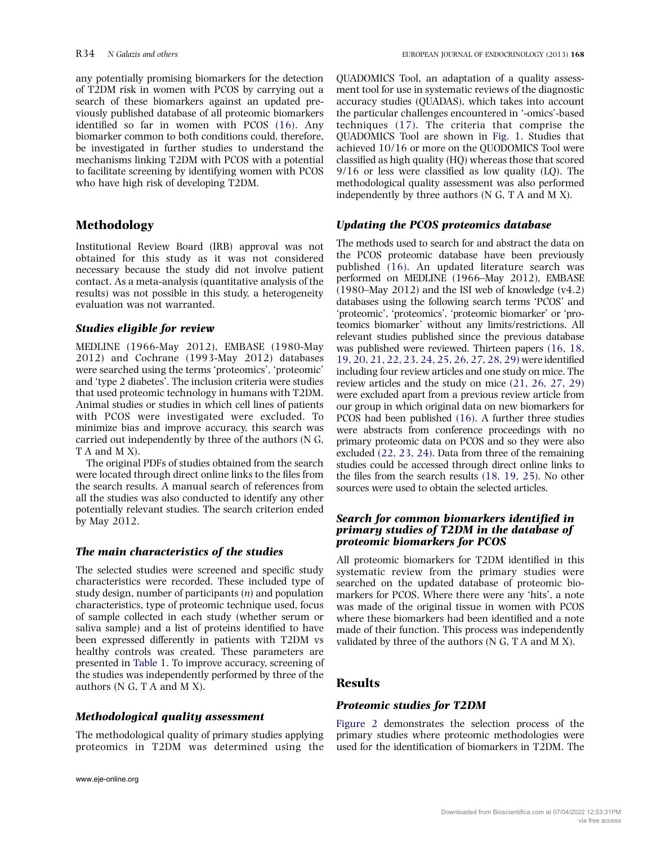any potentially promising biomarkers for the detection of T2DM risk in women with PCOS by carrying out a search of these biomarkers against an updated previously published database of all proteomic biomarkers identified so far in women with PCOS [\(16\)](#page-9-0). Any biomarker common to both conditions could, therefore, be investigated in further studies to understand the mechanisms linking T2DM with PCOS with a potential to facilitate screening by identifying women with PCOS who have high risk of developing T2DM.

# Methodology

Institutional Review Board (IRB) approval was not obtained for this study as it was not considered necessary because the study did not involve patient contact. As a meta-analysis (quantitative analysis of the results) was not possible in this study, a heterogeneity evaluation was not warranted.

# Studies eligible for review

MEDLINE (1966-May 2012), EMBASE (1980-May 2012) and Cochrane (1993-May 2012) databases were searched using the terms 'proteomics', 'proteomic' and 'type 2 diabetes'. The inclusion criteria were studies that used proteomic technology in humans with T2DM. Animal studies or studies in which cell lines of patients with PCOS were investigated were excluded. To minimize bias and improve accuracy, this search was carried out independently by three of the authors (N G, T A and M X).

The original PDFs of studies obtained from the search were located through direct online links to the files from the search results. A manual search of references from all the studies was also conducted to identify any other potentially relevant studies. The search criterion ended by May 2012.

# The main characteristics of the studies

The selected studies were screened and specific study characteristics were recorded. These included type of study design, number of participants  $(n)$  and population characteristics, type of proteomic technique used, focus of sample collected in each study (whether serum or saliva sample) and a list of proteins identified to have been expressed differently in patients with T2DM vs healthy controls was created. These parameters are presented in [Table 1](#page-2-0). To improve accuracy, screening of the studies was independently performed by three of the authors (N G, T A and M X).

# Methodological quality assessment

The methodological quality of primary studies applying proteomics in T2DM was determined using the

QUADOMICS Tool, an adaptation of a quality assessment tool for use in systematic reviews of the diagnostic accuracy studies (QUADAS), which takes into account the particular challenges encountered in '-omics'-based techniques [\(17\).](#page-9-0) The criteria that comprise the QUADOMICS Tool are shown in [Fig. 1.](#page-6-0) Studies that achieved 10/16 or more on the QUODOMICS Tool were classified as high quality (HQ) whereas those that scored 9/16 or less were classified as low quality (LQ). The methodological quality assessment was also performed independently by three authors (N G, T A and M X).

# Updating the PCOS proteomics database

The methods used to search for and abstract the data on the PCOS proteomic database have been previously published [\(16\).](#page-9-0) An updated literature search was performed on MEDLINE (1966–May 2012), EMBASE  $(1980–\text{May } 2012)$  and the ISI web of knowledge  $(v4.2)$ databases using the following search terms 'PCOS' and 'proteomic', 'proteomics', 'proteomic biomarker' or 'proteomics biomarker' without any limits/restrictions. All relevant studies published since the previous database was published were reviewed. Thirteen papers [\(16, 18,](#page-9-0) [19, 20, 21, 22, 23, 24, 25, 26, 27, 28, 29\)](#page-9-0) were identified including four review articles and one study on mice. The review articles and the study on mice [\(21, 26, 27, 29\)](#page-9-0) were excluded apart from a previous review article from our group in which original data on new biomarkers for PCOS had been published [\(16\)](#page-9-0). A further three studies were abstracts from conference proceedings with no primary proteomic data on PCOS and so they were also excluded [\(22, 23, 24\)](#page-9-0). Data from three of the remaining studies could be accessed through direct online links to the files from the search results [\(18, 19, 25\).](#page-9-0) No other sources were used to obtain the selected articles.

#### Search for common biomarkers identified in primary studies of T2DM in the database of proteomic biomarkers for PCOS

All proteomic biomarkers for T2DM identified in this systematic review from the primary studies were searched on the updated database of proteomic biomarkers for PCOS. Where there were any 'hits', a note was made of the original tissue in women with PCOS where these biomarkers had been identified and a note made of their function. This process was independently validated by three of the authors (N G, T A and M X).

# Results

# Proteomic studies for T2DM

[Figure 2](#page-6-0) demonstrates the selection process of the primary studies where proteomic methodologies were used for the identification of biomarkers in T2DM. The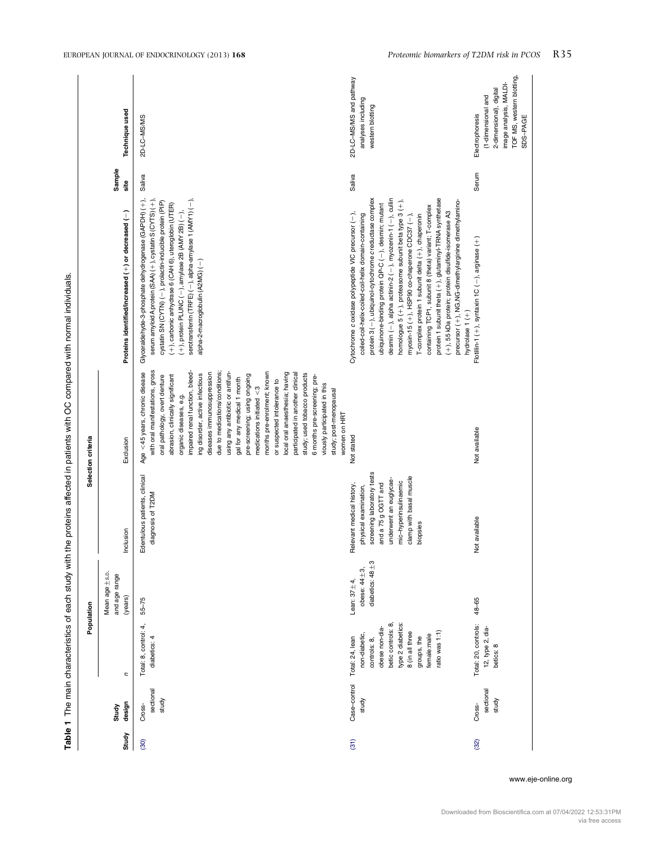<span id="page-2-0"></span>

|               |                              |                                                                                                                                                                                  | Population                                                     |                                                                                                                                                                                                   | Selection criteria                                                                                                                                                                                                                                                                                                                                                                                                                                                                                                                                                                                                                                                                                                     |                                                                                                                                                                                                                                                                                                                                                                                                                                                                                                                                                                                                                                                                                                                       |                |                                                                                                                                     |
|---------------|------------------------------|----------------------------------------------------------------------------------------------------------------------------------------------------------------------------------|----------------------------------------------------------------|---------------------------------------------------------------------------------------------------------------------------------------------------------------------------------------------------|------------------------------------------------------------------------------------------------------------------------------------------------------------------------------------------------------------------------------------------------------------------------------------------------------------------------------------------------------------------------------------------------------------------------------------------------------------------------------------------------------------------------------------------------------------------------------------------------------------------------------------------------------------------------------------------------------------------------|-----------------------------------------------------------------------------------------------------------------------------------------------------------------------------------------------------------------------------------------------------------------------------------------------------------------------------------------------------------------------------------------------------------------------------------------------------------------------------------------------------------------------------------------------------------------------------------------------------------------------------------------------------------------------------------------------------------------------|----------------|-------------------------------------------------------------------------------------------------------------------------------------|
| Study         | design<br>Study              | Ξ                                                                                                                                                                                | Mean age ±s.p.<br>and age range<br>(years)                     | Inclusion                                                                                                                                                                                         | Exclusion                                                                                                                                                                                                                                                                                                                                                                                                                                                                                                                                                                                                                                                                                                              | Proteins identified/increased (+) or decreased (-)                                                                                                                                                                                                                                                                                                                                                                                                                                                                                                                                                                                                                                                                    | Sample<br>site | Technique used                                                                                                                      |
| (30)          | sectional<br>study<br>Cross- | Total: 8, control: 4,<br>diabetics: 4                                                                                                                                            | $55 - 75$                                                      | Edentulous patients, clinical<br>diagnosis of T2DM                                                                                                                                                | with oral manifestations, gross<br>due to medications/conditions;<br>using any antibiotic or antifun-<br>Age <45 years, chronic disease<br>impaired renal function, bleed-<br>months pre-enrolment; known<br>local oral anaesthesia; having<br>diseases immunosuppression<br>participated in another clinical<br>study; used tobacco products<br>ing disorder, active infectious<br>oral pathology, overt denture<br>abrasion, clinically significant<br>pre-screening; using ongoing<br>6 months pre-screening; pre-<br>gal for any medical 1 month<br>or suspected intolerance to<br>viously participated in this<br>medications initiated $<$ 3<br>study; post-menopausal<br>organic diseases, e.g.<br>women on HRT | serotransferrin (TRFE) (-), alpha-amylase 1 (AMY1) (-),<br>Glyceraldehyde-3-phosphate dehydrogenase (GAPDH) (+),<br>serum amyloid A protein (SAA) (+), cystatin S (CYTS) (+)<br>cystatin SN (CYTN) (-), prolactin-inducible protein (PIP)<br>(+), carbonic anhydrase 6 (CAH 6), uteroglobin (UTER)<br>$(+)$ , protein PLUNC $(-)$ , amylase 2B (AMY 2B) $(-)$ ,<br>alpha-2-macroglobulin (A2MG) (-)                                                                                                                                                                                                                                                                                                                   | Saliva         | 2D-LC-MS/MS                                                                                                                         |
| $\frac{1}{2}$ | Case-control<br>study        | betic controls: 8,<br>type 2 diabetics:<br>obese non-dia-<br>ratio was 1:1)<br>8 (in all three<br>non-diabetic,<br>female:male<br>Total: 24, lean<br>groups, the<br>controls: 8, | diabetics: $48 + 3$<br>obese: $44 \pm 3$ ,<br>Lean: $37 + 4$ , | screening laboratory tests<br>clamp with basal muscle<br>underwent an euglycae-<br>mic-hyperinsulinaemic<br>and a 75 g OGTT and<br>Relevant medical history,<br>physical examination,<br>biopsies | Not stated                                                                                                                                                                                                                                                                                                                                                                                                                                                                                                                                                                                                                                                                                                             | protein 1 subunit theta (+), glutaminyl-TRNA synthetase<br>protein 3 (-), ubiquinol-cytochrome creductase complex<br>desmin $(-)$ , alpha actinin-2 $(-)$ , myozenin-1 $(-)$ , cullin<br>homologue 5 (+), proteasome subunit beta type 3 (+),<br>precursor (+), NG, NG-dimethylarginine dimethylamino-<br>ubiquinone-binding protein QP-C (-), desmin; mutant<br>containing TCP1, subunit 8 (theta) variant; T-complex<br>(+), 55 kDa protein; protein disulfide-isomerase A3<br>Cytochrome c oxidase polypeptide VIC precursor (-),<br>coiled-coil-helix-coiled-coil-helix domain-containing<br>myosin-15 (+), HSP90 co-chaperone CDC37 (-),<br>T-complex protein 1 subunit delta (+), chaperonin<br>hydrolase 1 (+) | Saliva         | 2D-LC-MS/MS and pathway<br>analyses including<br>western blotting                                                                   |
| (32)          | sectional<br>study<br>Cross- | Total: 20, controls:<br>12, type 2, dia-<br>betics: 8                                                                                                                            | 48-65                                                          | Not available                                                                                                                                                                                     | Not available                                                                                                                                                                                                                                                                                                                                                                                                                                                                                                                                                                                                                                                                                                          | Flotilin-1 (+), syntaxin 1C (-), arginase (+)                                                                                                                                                                                                                                                                                                                                                                                                                                                                                                                                                                                                                                                                         | Serum          | TOF MS, western blotting,<br>image analysis, MALDI-<br>2-dimensional), digital<br>(1-dimensional and<br>Electrophoresis<br>SDS-PAGE |

Table 1 The main characteristics of each study with the proteins affected in patients with OC compared with normal individuals. Table 1 The main characteristics of each study with the proteins affected in patients with OC compared with normal individuals.

www.eje-online.org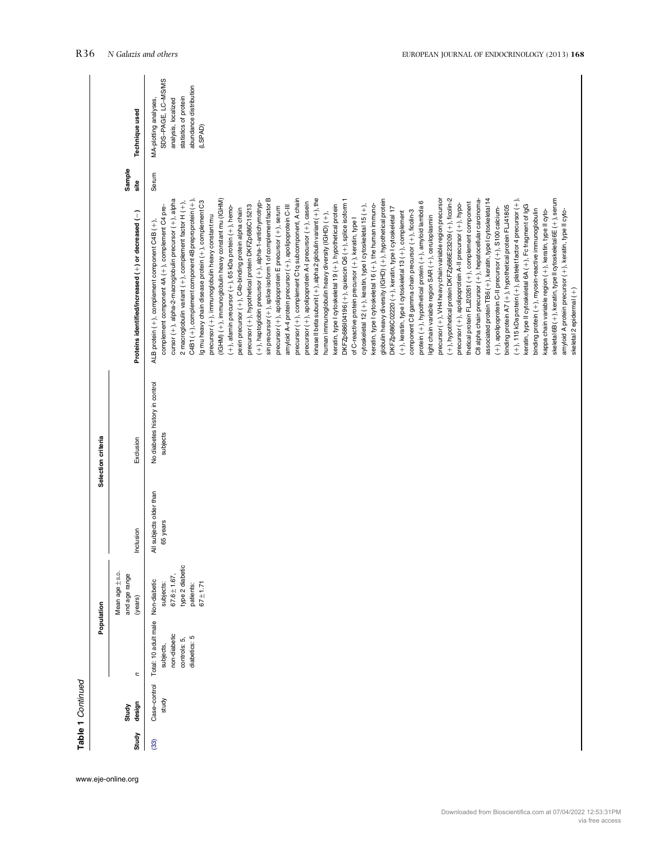|       |              |                                   | Population                      |                         | Selection criteria             |                                                                     |                |                        |
|-------|--------------|-----------------------------------|---------------------------------|-------------------------|--------------------------------|---------------------------------------------------------------------|----------------|------------------------|
|       | Study        |                                   | Mean age ±s.p.<br>and age range |                         |                                |                                                                     | Sample<br>site |                        |
| Study | design       | ς                                 | (years)                         | Inclusion               | Exclusion                      | Proteins identified/increased (+) or decreased (-)                  |                | Technique used         |
| (33)  | Case-control | Total: 10 adult male Non-diabetic |                                 | All subjects older than | No diabetes history in control | ALB protein (+), complement component C4B (+),                      | Serum          | MA-plotting analyses,  |
|       | study        | subjects,                         | subjects:                       | 65 years                | subjects                       | complement component 4A (+), complement C4 pre-                     |                | SDS-PAGE, LC-MS/MS     |
|       |              | non-diabetic                      | $67.6 \pm 1.67$ ,               |                         |                                | cursor (+), alpha-2-macroglobulin precursor (+), alpha              |                | analysis, localized    |
|       |              | controls: 5,                      | type 2 diabetic                 |                         |                                | 2 macroglobulin variant (+), complement factor H (+),               |                | statistics of protein  |
|       |              | diabetics: 5                      | patients:                       |                         |                                | C4B1(+), complement component 4B preproprotein(+),                  |                | abundance distribution |
|       |              |                                   | $67 + 1.71$                     |                         |                                | Ig mu heavy chain disease protein (+), complement C3                |                | (LSPAD)                |
|       |              |                                   |                                 |                         |                                | precursor (+), immunoglobulin heavy constant mu                     |                |                        |
|       |              |                                   |                                 |                         |                                | (IGHM) (+), immunoglobulin heavy constant mu (IGHM)                 |                |                        |
|       |              |                                   |                                 |                         |                                | $(+)$ , afamin precursor $(+)$ , 65 kDa protein $(+)$ , hemo-       |                |                        |
|       |              |                                   |                                 |                         |                                | pexin precursor (+), C4b-binding protein alpha chain                |                |                        |
|       |              |                                   |                                 |                         |                                | precursor (+), hypothetical protein DKFZp686C15213                  |                |                        |
|       |              |                                   |                                 |                         |                                | (+), haptoglobin precursor (+), alpha-1-antichymotryp-              |                |                        |
|       |              |                                   |                                 |                         |                                |                                                                     |                |                        |
|       |              |                                   |                                 |                         |                                | sin precursor (+), splice isoform 1 of complement factor B          |                |                        |
|       |              |                                   |                                 |                         |                                | precursor (+), apolipoprotein E precursor (+), serum                |                |                        |
|       |              |                                   |                                 |                         |                                | amyloid A-4 protein precursor (+), apolipoprotein C-III             |                |                        |
|       |              |                                   |                                 |                         |                                | precursor (+), complement C1q subcomponent, A chain                 |                |                        |
|       |              |                                   |                                 |                         |                                | precursor (+), apolipoprotein A-I precursor (+), casein             |                |                        |
|       |              |                                   |                                 |                         |                                | kinase II beta subunit $(+)$ , alpha 2 globulin variant $(+)$ , the |                |                        |
|       |              |                                   |                                 |                         |                                |                                                                     |                |                        |
|       |              |                                   |                                 |                         |                                | human immunoglobulin heavy diversity (IGHD) (+),                    |                |                        |
|       |              |                                   |                                 |                         |                                | keratin, type I cytoskeletal 19 (+), hypothetical protein           |                |                        |
|       |              |                                   |                                 |                         |                                | DKFZp686l04196 (+), quiescin Q6 (+), splice isoform                 |                |                        |
|       |              |                                   |                                 |                         |                                | of C-reactive protein precursor (+), keratin, type I                |                |                        |
|       |              |                                   |                                 |                         |                                | cytoskeletal 12 (+), keratin, type I cytoskeletal 15 (+),           |                |                        |
|       |              |                                   |                                 |                         |                                | keratin, type I cytoskeletal 16 (+), the human immuno-              |                |                        |
|       |              |                                   |                                 |                         |                                | globulin heavy diversity (IGHD) (+), hypothetical protein           |                |                        |
|       |              |                                   |                                 |                         |                                | DKFZp686C02220 (+), keratin, type I cytoskeletal 17                 |                |                        |
|       |              |                                   |                                 |                         |                                |                                                                     |                |                        |
|       |              |                                   |                                 |                         |                                | (+), keratin, type I cytoskeletal 13 (+), complement                |                |                        |
|       |              |                                   |                                 |                         |                                | component C8 gamma chain precursor (+), ficolin-3                   |                |                        |
|       |              |                                   |                                 |                         |                                | protein (+), hypothetical protein (+), amyloid lambda 6             |                |                        |
|       |              |                                   |                                 |                         |                                | light chain variable region SAR (+), ceruloplasmin                  |                |                        |
|       |              |                                   |                                 |                         |                                | precursor (+), VH4 heavy chain variable region precursor            |                |                        |
|       |              |                                   |                                 |                         |                                | (+), hypothetical protein DKFZp686E23209 (+), ficolin-2             |                |                        |
|       |              |                                   |                                 |                         |                                | precursor (+), apolipoprotein A-II precursor (+), hypo-             |                |                        |
|       |              |                                   |                                 |                         |                                | thetical protein FLJ20261 (+), complement component                 |                |                        |
|       |              |                                   |                                 |                         |                                | C8 alpha chain precursor (+), hepatocellular carcinoma-             |                |                        |
|       |              |                                   |                                 |                         |                                | associated protein TB6 (+), keratin, type I cytoskeletal 14         |                |                        |
|       |              |                                   |                                 |                         |                                | (+), apolipoprotein C-II precursor (+), S100 calcium-               |                |                        |
|       |              |                                   |                                 |                         |                                | binding protein A7 (+), hypothetical protein FLJ41805               |                |                        |
|       |              |                                   |                                 |                         |                                | $(+)$ , 115 kDa protein $(+)$ , platelet factor 4 precursor $(+)$ , |                |                        |
|       |              |                                   |                                 |                         |                                | keratin, type II cytoskeletal 6A (+), Fc fragment of IgG            |                |                        |
|       |              |                                   |                                 |                         |                                | binding protein (+), myosin-reactive immunoglobulin                 |                |                        |
|       |              |                                   |                                 |                         |                                | kappa chain variable region (+), keratin, type II cyto-             |                |                        |
|       |              |                                   |                                 |                         |                                | skeletal 6B (+), keratin, type II cytoskeletal 6E (+), serum        |                |                        |
|       |              |                                   |                                 |                         |                                | amyloid A protein precursor (+), keratin, type II cyto-             |                |                        |
|       |              |                                   |                                 |                         |                                | skeletal 2 epidermal (+)                                            |                |                        |

www.eje-online.org

Table 1 Continued

Table 1 Continued

Downloaded from Bioscientifica.com at 07/04/2022 12:53:31PM via free access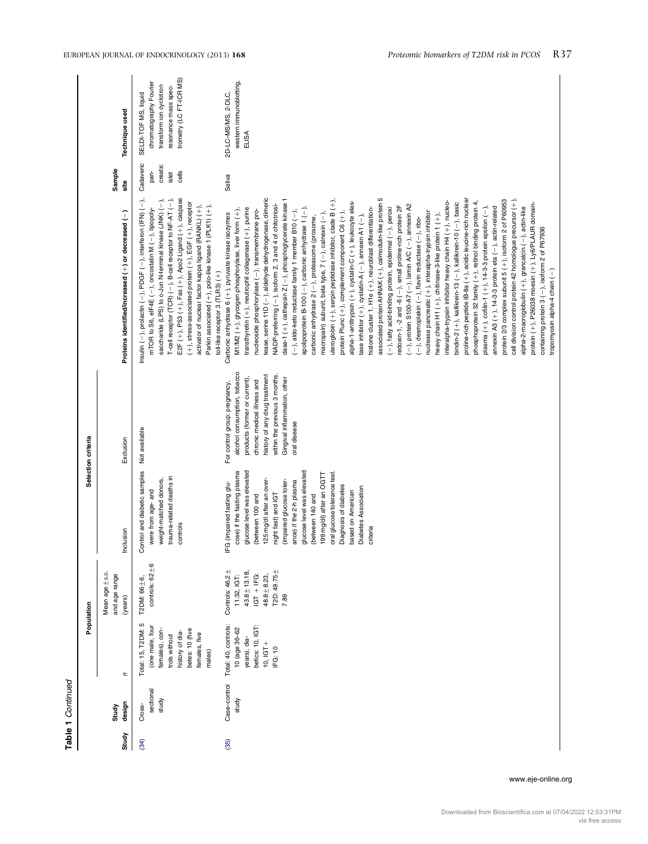|       |                              |                                                                                                                                           | Population                                                                                                     |                                                                                                                                                                                                                                                                                                                                                                                                                              | Selection criteria                                                                                                                                                                                                                              |                                                                                                                                                                                                                                                                                                                                                                                                                                                                                                                                                                                                                                                                                                                                                                                                                                                                                                                                                                                                                                                                                                                                                                                                                                                                                                                                                                                                                                                                                                                                                                                                                                                                                                                                                                                                                                                                                                                                                                                                     |                                                                                |                                                                                                                              |
|-------|------------------------------|-------------------------------------------------------------------------------------------------------------------------------------------|----------------------------------------------------------------------------------------------------------------|------------------------------------------------------------------------------------------------------------------------------------------------------------------------------------------------------------------------------------------------------------------------------------------------------------------------------------------------------------------------------------------------------------------------------|-------------------------------------------------------------------------------------------------------------------------------------------------------------------------------------------------------------------------------------------------|-----------------------------------------------------------------------------------------------------------------------------------------------------------------------------------------------------------------------------------------------------------------------------------------------------------------------------------------------------------------------------------------------------------------------------------------------------------------------------------------------------------------------------------------------------------------------------------------------------------------------------------------------------------------------------------------------------------------------------------------------------------------------------------------------------------------------------------------------------------------------------------------------------------------------------------------------------------------------------------------------------------------------------------------------------------------------------------------------------------------------------------------------------------------------------------------------------------------------------------------------------------------------------------------------------------------------------------------------------------------------------------------------------------------------------------------------------------------------------------------------------------------------------------------------------------------------------------------------------------------------------------------------------------------------------------------------------------------------------------------------------------------------------------------------------------------------------------------------------------------------------------------------------------------------------------------------------------------------------------------------------|--------------------------------------------------------------------------------|------------------------------------------------------------------------------------------------------------------------------|
| Study | design<br>Study              | ς                                                                                                                                         | Mean age ±s.p.<br>and age range<br>(years)                                                                     | Inclusion                                                                                                                                                                                                                                                                                                                                                                                                                    | Exclusion                                                                                                                                                                                                                                       | Proteins identified/increased (+) or decreased (-)                                                                                                                                                                                                                                                                                                                                                                                                                                                                                                                                                                                                                                                                                                                                                                                                                                                                                                                                                                                                                                                                                                                                                                                                                                                                                                                                                                                                                                                                                                                                                                                                                                                                                                                                                                                                                                                                                                                                                  | Sample<br>site                                                                 | Technique used                                                                                                               |
| (34)  | sectional<br>study<br>Cross- | Total: 15, T2DM: 5<br>(one male, four<br>betes: 10 (five<br>females), con-<br>history of dia-<br>females, five<br>trols without<br>males) | controls: $62 \pm 6$<br>T2DM: 66 ± 6,                                                                          | Control and diabetic samples<br>trauma-related deaths in<br>weight-matched donors,<br>were from age-and<br>controls                                                                                                                                                                                                                                                                                                          | Not available                                                                                                                                                                                                                                   | E2F (+), P53 (+), Fas (+), Apo2 Ligand (+), caspase<br>Insulin (-), prolactin (-), PDGF (-), interferon (IFN) (-),<br>saccharide (LPS) to c-Jun N-terminal kinase (JNK) (-),<br>T-cell receptor (TCR) (-), B-cell receptor to NF-AT (-),<br>(+), stress-associated protein (+), EGF (+), receptor<br>activator of nuclear factor kappa ligand (RANKL) (+),<br>Parkin associated (+), polo-like kinase 1 (PLK1) (+),<br>mTOR to S6, eIF4E (-), oncostatin M (-), lipopoly-<br>toll-like receptor 3 (TLR3) (+)                                                                                                                                                                                                                                                                                                                                                                                                                                                                                                                                                                                                                                                                                                                                                                                                                                                                                                                                                                                                                                                                                                                                                                                                                                                                                                                                                                                                                                                                                        | Cadaveric<br>creatic<br>pan-<br>cells<br>islet                                 | trometry (LC FT-ICR MS)<br>chromatography Fourier<br>transform ion cyclotron<br>resonance mass spec-<br>SELDI-TOF MS, liquid |
| (35)  | Case-control<br>study        | Total: 40, controls:<br>betics: 10, IGT:<br>10 (age 36-62<br>years), dia-<br>$10,16T+$<br>IFG: 10                                         | T2D: 49.75±<br>Controls: 46.2±<br>$43.8 \pm 13.18$ ,<br>$IGT + IFG:$<br>11.32, IGT:<br>$48.8 \pm 8.23$<br>7.89 | glucose level was elevated<br>glucose level was elevated<br>cose) if the fasting plasma<br>oral glucose tolerance test.<br>199 mg/dl) after an OGTT<br>125 mg/dl after an over-<br>ance) if the 2-h plasma<br>(impaired glucose toler-<br>IFG (impaired fasting glu-<br>Diagnosis of diabetes<br><b>Diabetes Association</b><br>based on American<br>night fast) and IGT<br>(between 140 and<br>(between 100 and<br>criteria | alcohol consumption, tobacco<br>history of any drug treatment<br>within the previous 3 months.<br>products (former or current),<br>Gingival inflammation, other<br>chronic medical illness and<br>For control group: pregnancy,<br>oral disease | tease, serine 11D (-), aldehyde dehydrogenase, dimeric<br>associated protein AHNAK (+), calmodulin-like protein 5<br>dase-1 (+), cathepsin Z (-), phosphoglycerate kinase 1<br>uteroglobin $(+)$ , serpin peptidase inhibitor, clade B $(+)$ ,<br>proline-rich peptide IB-8a (+), acidic leucine-rich nuclear<br>protein 2/3 complex subunit 5 (+), isoform 2 of P60953<br>cell division control protein 42 homologue precursor (+),<br>interalpha-trypsin inhibitor heavy chain H4 (+), nucleo-<br>phosphoprotein 32 family (+), retinol binding protein 4,<br>alpha-1-antitrypsin (+), cystatin-C (+), leukocyte elas-<br>bindin-2 (+), kallikrein-13 (-), kallikrein-10 (-), basic<br>protein (+), P26038 moesin (+), Ly6/PLAUR domain-<br>NADP-preferring (-), isoform 2, 3 and 4 of chitotriosi-<br>$(-)$ , protein S100-A7 $(-)$ , lamin A/C $(-)$ , annexin A2<br>redoxin-1, -2 and -6 (-), small proline-rich protein 2F<br>plasma $(+)$ , cofilin-1 $(+)$ , 14-3-3 protein epsilon $(-)$ ,<br>alpha-2-macroglobulin (+), grancalcin (-), actin-like<br>annexin A3 (+), 14-3-3 protein eta (-), actin-related<br>histone cluster 1, H1e (+), neuroblast differentiation-<br>apolipoprotein B-100 $(-)$ , carbonic anhydrase 1 $(-)$ ,<br>(-), fatty acid-binding protein, epidermal (-), peroxi<br>transthyretin (+), neutrophil collagenase (+), purine<br>M1/M2 (+), glycogen phosphorylase, liver form (+),<br>nudeoside phosphorylase (-), transmembrane pro-<br>$(-)$ , aldo-keto reductase family 1 member B10 $(-)$ ,<br>nuclease pancreatic (+), interalpha-trypsin inhibitor<br>protein Plunc (+), complement component C6 (+),<br>Carbonic anhydrase 6 (+), pyruvate kinase isozymes<br>tase inhibitor $(+)$ , cystatin-A $(-)$ , annexin A1 $(-)$ ,<br>macropain) subunit, beta type, 7 (-), calnexin (-)<br>heavy chain H1 (+), chitinase-3-like protein 1 (+),<br>carbonic anhydrase 2 (-), proteasome (prosome,<br>$(-)$ , desmoplakin $(-)$ , flavin reductase $(-)$ , ribo- | Saliva                                                                         | western immunoblotting,<br>2D-LC-MS/MS, 2-DLC,<br>ELISA                                                                      |
|       |                              |                                                                                                                                           |                                                                                                                |                                                                                                                                                                                                                                                                                                                                                                                                                              |                                                                                                                                                                                                                                                 |                                                                                                                                                                                                                                                                                                                                                                                                                                                                                                                                                                                                                                                                                                                                                                                                                                                                                                                                                                                                                                                                                                                                                                                                                                                                                                                                                                                                                                                                                                                                                                                                                                                                                                                                                                                                                                                                                                                                                                                                     | containing protein 3 (-), isoform 2 of P67936<br>tropomyosin alpha-4 chain (-) |                                                                                                                              |

www.eje-online.org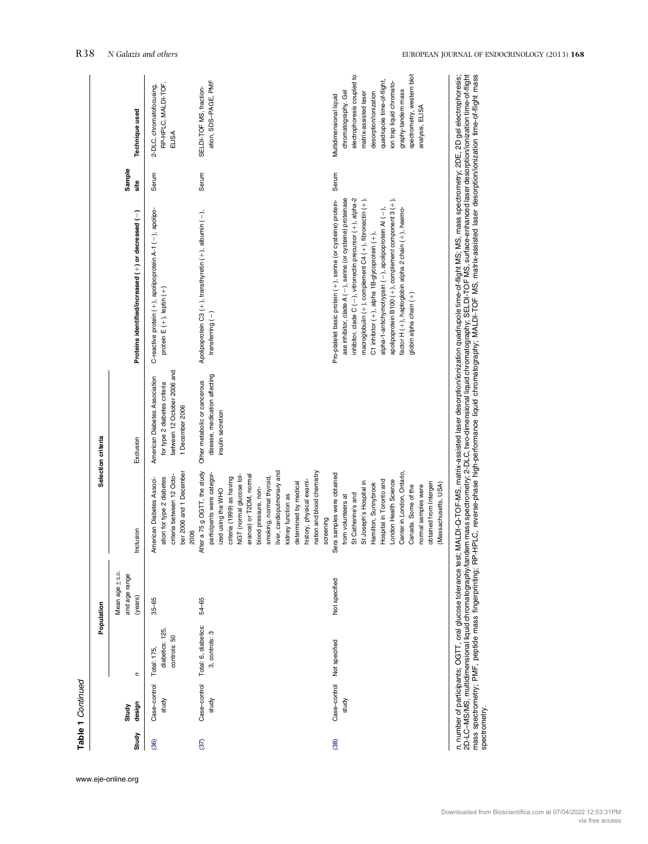|       |                       |                                                | Population                                 |                                                                                                                                                                                                                                                                                                                                                                            | Selection criteria                                                                                              |                                                                                                                                                                                                                                                                                                                                                                                                                                                                                                                        |              |                                                                                                                                                                                                                                                                  |
|-------|-----------------------|------------------------------------------------|--------------------------------------------|----------------------------------------------------------------------------------------------------------------------------------------------------------------------------------------------------------------------------------------------------------------------------------------------------------------------------------------------------------------------------|-----------------------------------------------------------------------------------------------------------------|------------------------------------------------------------------------------------------------------------------------------------------------------------------------------------------------------------------------------------------------------------------------------------------------------------------------------------------------------------------------------------------------------------------------------------------------------------------------------------------------------------------------|--------------|------------------------------------------------------------------------------------------------------------------------------------------------------------------------------------------------------------------------------------------------------------------|
| Study | design<br>Study       | n                                              | Mean age ±s.p.<br>and age range<br>(years) | nclusion                                                                                                                                                                                                                                                                                                                                                                   | Exclusion                                                                                                       | Proteins identified/increased (+) or decreased (-)                                                                                                                                                                                                                                                                                                                                                                                                                                                                     | Sample<br>ះី | Technique used                                                                                                                                                                                                                                                   |
| (36)  | Case-control<br>study | diabetics: 125,<br>controls: 50<br>Total: 175, | $35 - 65$                                  | ber 2006 and 1 December<br>criteria between 12 Octo-<br>ation for type 2 diabetes<br>American Diabetes Associ-<br>2006                                                                                                                                                                                                                                                     | between 12 October 2006 and<br>American Diabetes Association<br>for type 2 diabetes criteria<br>1 December 2006 | C-reactive protein (+), apolipoprotein A-1 (-), apolipo-<br>protein $E(+)$ , leptin $(+)$                                                                                                                                                                                                                                                                                                                                                                                                                              | Serum        | RP-HPLC, MALDI-TOF,<br>2-DLC, chromatofocusing,<br>ELISA                                                                                                                                                                                                         |
| (37)  | Case-control<br>study | Total: 6, diabetics:<br>3, controls: 3         | $54 - 65$                                  | After a 75 g OGTT, the study<br>nation and blood chemistry<br>iver, cardiopulmonary and<br>participants were categor-<br>erance) or T2DM, normal<br>NGT (normal glucose tol-<br>criteria (1999) as having<br>smoking, normal thyroid,<br>history, physical exami-<br>determined by medical<br>blood pressure, non-<br>zed using the WHO<br>kidney function as<br>screening | disease, medication affecting<br>Other metabolic or cancerous<br>insulin secretion                              | Apolipoprotein C3 (+), transthyretin (+), albumin (-),<br>transferring $(-)$                                                                                                                                                                                                                                                                                                                                                                                                                                           | Serum        | ation, SDS-PAGE, PMF<br>SELDI-TOF MS, fraction-                                                                                                                                                                                                                  |
| (38)  | Case-control<br>study | Not specified                                  | Not specified                              | Center in London, Ontario,<br>Sera samples were obtained<br>London Health Science<br>Hospital in Toronto and<br>St Joseph's Hospital in<br>obtained from Intergen<br>Hamilton, Sunnybrook<br>(Massachusetts, USA)<br>normal samples were<br>Canada. Some of the<br>St Catherine's and<br>from volunteers at                                                                |                                                                                                                 | ase inhibitor, clade A (-), serine (or cysteine) proteinase<br>inhibitor, clade $C$ (-), vitronectin precursor (+), alpha-2<br>macroglobulin $(+)$ , complement C4 $(+)$ , fibronectin $(+)$ ,<br>apolipoprotein B100 $(+)$ , complement component 3 $(+)$ ,<br>Pro-platelet basic protein (+), serine (or cysteine) protein-<br>alpha-1-antichymotrypsin (-), apolipoprotein AI (-),<br>factor H (+), haptoglobin alpha 2 chain (+), haemo-<br>C1 inhibitor (+), alpha 1B-glycoprotein (+),<br>globin alpha chain (+) | Serum        | electrophoresis coupled to<br>spectrometry, western blot<br>quadrupole time-of-flight,<br>ion trap liquid chromato-<br>graphy-tandem mass<br>chromatography. Gel<br>desorption/ionization<br>matrix-assisted laser<br>Multidimensional liquid<br>analysis, ELISA |

2h-LC-MS/MS, murphane, occurring the second resolution of the second market and the consequence of the second market and the second market and the second market and the second market and the second market and the second ma mass spectrometry; PMF, peptide mass fingerprinting; RP-HPLC, reverse-phase high-performance liquid chromatography; MALDI-TOF MS, matrix-assisted laser desorption/ionization time-of-flight mass spectrometry.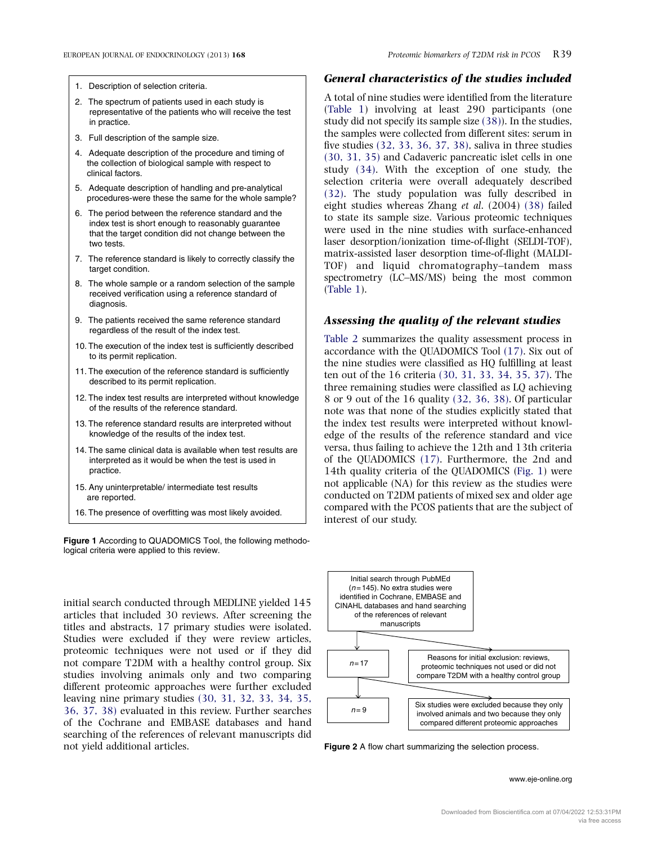- <span id="page-6-0"></span>1. Description of selection criteria.
- 2. The spectrum of patients used in each study is representative of the patients who will receive the test in practice.
- 3. Full description of the sample size.
- 4. Adequate description of the procedure and timing of the collection of biological sample with respect to clinical factors.
- 5. Adequate description of handling and pre-analytical procedures-were these the same for the whole sample?
- 6. The period between the reference standard and the index test is short enough to reasonably guarantee that the target condition did not change between the two tests.
- 7. The reference standard is likely to correctly classify the target condition
- 8. The whole sample or a random selection of the sample received verification using a reference standard of diagnosis.
- 9. The patients received the same reference standard regardless of the result of the index test.
- 10. The execution of the index test is sufficiently described to its permit replication.
- 11. The execution of the reference standard is sufficiently described to its permit replication.
- 12. The index test results are interpreted without knowledge of the results of the reference standard.
- 13. The reference standard results are interpreted without knowledge of the results of the index test.
- 14. The same clinical data is available when test results are interpreted as it would be when the test is used in practice.
- 15. Any uninterpretable/ intermediate test results are reported.
- 16. The presence of overfitting was most likely avoided.

Figure 1 According to QUADOMICS Tool, the following methodological criteria were applied to this review.

initial search conducted through MEDLINE yielded 145 articles that included 30 reviews. After screening the titles and abstracts, 17 primary studies were isolated. Studies were excluded if they were review articles, proteomic techniques were not used or if they did not compare T2DM with a healthy control group. Six studies involving animals only and two comparing different proteomic approaches were further excluded leaving nine primary studies [\(30, 31, 32, 33, 34, 35,](#page-10-0) [36, 37, 38\)](#page-10-0) evaluated in this review. Further searches of the Cochrane and EMBASE databases and hand searching of the references of relevant manuscripts did not yield additional articles.

#### General characteristics of the studies included

A total of nine studies were identified from the literature [\(Table 1\)](#page-2-0) involving at least 290 participants (one study did not specify its sample size [\(38\)](#page-10-0)). In the studies, the samples were collected from different sites: serum in five studies [\(32, 33, 36, 37, 38\),](#page-10-0) saliva in three studies [\(30, 31, 35\)](#page-10-0) and Cadaveric pancreatic islet cells in one study [\(34\).](#page-10-0) With the exception of one study, the selection criteria were overall adequately described [\(32\)](#page-10-0). The study population was fully described in eight studies whereas Zhang et al. (2004) [\(38\)](#page-10-0) failed to state its sample size. Various proteomic techniques were used in the nine studies with surface-enhanced laser desorption/ionization time-of-flight (SELDI-TOF), matrix-assisted laser desorption time-of-flight (MALDI-TOF) and liquid chromatography–tandem mass spectrometry (LC–MS/MS) being the most common [\(Table 1](#page-2-0)).

#### Assessing the quality of the relevant studies

[Table 2](#page-7-0) summarizes the quality assessment process in accordance with the QUADOMICS Tool [\(17\).](#page-9-0) Six out of the nine studies were classified as HQ fulfilling at least ten out of the 16 criteria [\(30, 31, 33, 34, 35, 37\)](#page-10-0). The three remaining studies were classified as LQ achieving 8 or 9 out of the 16 quality [\(32, 36, 38\)](#page-10-0). Of particular note was that none of the studies explicitly stated that the index test results were interpreted without knowledge of the results of the reference standard and vice versa, thus failing to achieve the 12th and 13th criteria of the QUADOMICS [\(17\)](#page-9-0). Furthermore, the 2nd and 14th quality criteria of the QUADOMICS (Fig. 1) were not applicable (NA) for this review as the studies were conducted on T2DM patients of mixed sex and older age compared with the PCOS patients that are the subject of interest of our study.



Figure 2 A flow chart summarizing the selection process.

www.eje-online.org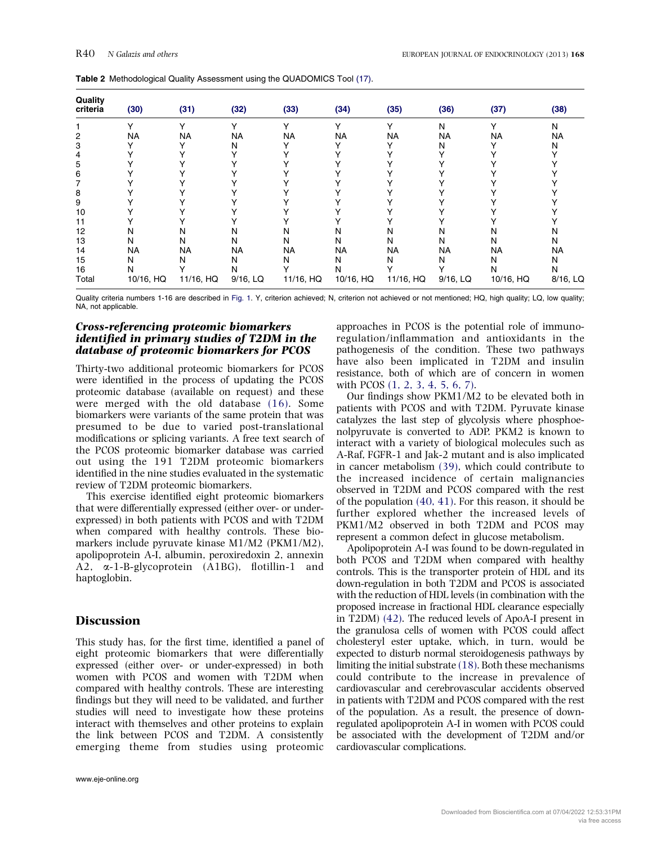| Quality<br>criteria | (30)      | (31)      | (32)     | (33)      | (34)         | (35)      | (36)     | (37)        | (38)     |
|---------------------|-----------|-----------|----------|-----------|--------------|-----------|----------|-------------|----------|
|                     | ٧         |           |          |           | $\checkmark$ | v         | N        | $\check{ }$ | Ν        |
| 2                   | <b>NA</b> | NA        | NA       | NA        | NA           | <b>NA</b> | NA       | NA          | NA       |
| 3                   |           |           | N        |           |              |           | N        |             | N        |
| 4                   |           |           |          |           |              |           |          |             |          |
| 5                   |           |           |          |           |              |           |          |             |          |
| 6                   |           |           |          |           |              |           |          |             |          |
|                     |           |           |          |           |              |           |          |             |          |
| 8                   |           |           |          |           |              |           |          |             |          |
| 9                   |           |           |          |           |              |           |          |             |          |
| 10                  |           |           |          |           |              |           |          |             |          |
| 11                  |           |           |          |           |              |           |          |             |          |
| 12                  | N         | N         | N        | N         | N            | N         | N        | N           | N        |
| 13                  | N         | N         | N        | N         | N            | N         | N        | N           | N        |
| 14                  | <b>NA</b> | NA        | NA       | NA        | NA           | NA        | NA       | NA          | NA       |
| 15                  | N         | N         | N        | N         | N            | N         | N        | N           | N        |
| 16                  | N         |           | N        |           | N            |           |          | N           | N        |
| Total               | 10/16, HQ | 11/16, HQ | 9/16, LQ | 11/16, HQ | 10/16, HQ    | 11/16, HQ | 9/16, LQ | 10/16, HQ   | 8/16, LQ |

<span id="page-7-0"></span>Table 2 Methodological Quality Assessment using the QUADOMICS Tool (17).

Quality criteria numbers 1-16 are described in [Fig. 1.](#page-6-0) Y, criterion achieved; N, criterion not achieved or not mentioned; HQ, high quality; LQ, low quality; NA, not applicable.

#### Cross-referencing proteomic biomarkers identified in primary studies of T2DM in the database of proteomic biomarkers for PCOS

Thirty-two additional proteomic biomarkers for PCOS were identified in the process of updating the PCOS proteomic database (available on request) and these were merged with the old database [\(16\)](#page-9-0). Some biomarkers were variants of the same protein that was presumed to be due to varied post-translational modifications or splicing variants. A free text search of the PCOS proteomic biomarker database was carried out using the 191 T2DM proteomic biomarkers identified in the nine studies evaluated in the systematic review of T2DM proteomic biomarkers.

This exercise identified eight proteomic biomarkers that were differentially expressed (either over- or underexpressed) in both patients with PCOS and with T2DM when compared with healthy controls. These biomarkers include pyruvate kinase M1/M2 (PKM1/M2), apolipoprotein A-I, albumin, peroxiredoxin 2, annexin A2, a-1-B-glycoprotein (A1BG), flotillin-1 and haptoglobin.

#### **Discussion**

This study has, for the first time, identified a panel of eight proteomic biomarkers that were differentially expressed (either over- or under-expressed) in both women with PCOS and women with T2DM when compared with healthy controls. These are interesting findings but they will need to be validated, and further studies will need to investigate how these proteins interact with themselves and other proteins to explain the link between PCOS and T2DM. A consistently emerging theme from studies using proteomic approaches in PCOS is the potential role of immunoregulation/inflammation and antioxidants in the pathogenesis of the condition. These two pathways have also been implicated in T2DM and insulin resistance, both of which are of concern in women with PCOS [\(1, 2, 3, 4, 5, 6, 7\).](#page-9-0)

Our findings show PKM1/M2 to be elevated both in patients with PCOS and with T2DM. Pyruvate kinase catalyzes the last step of glycolysis where phosphoenolpyruvate is converted to ADP. PKM2 is known to interact with a variety of biological molecules such as A-Raf, FGFR-1 and Jak-2 mutant and is also implicated in cancer metabolism [\(39\),](#page-10-0) which could contribute to the increased incidence of certain malignancies observed in T2DM and PCOS compared with the rest of the population [\(40, 41\)](#page-10-0). For this reason, it should be further explored whether the increased levels of PKM1/M2 observed in both T2DM and PCOS may represent a common defect in glucose metabolism.

Apolipoprotein A-I was found to be down-regulated in both PCOS and T2DM when compared with healthy controls. This is the transporter protein of HDL and its down-regulation in both T2DM and PCOS is associated with the reduction of HDL levels (in combination with the proposed increase in fractional HDL clearance especially in T2DM) [\(42\).](#page-10-0) The reduced levels of ApoA-I present in the granulosa cells of women with PCOS could affect cholesteryl ester uptake, which, in turn, would be expected to disturb normal steroidogenesis pathways by limiting the initial substrate [\(18\)](#page-9-0). Both these mechanisms could contribute to the increase in prevalence of cardiovascular and cerebrovascular accidents observed in patients with T2DM and PCOS compared with the rest of the population. As a result, the presence of downregulated apolipoprotein A-I in women with PCOS could be associated with the development of T2DM and/or cardiovascular complications.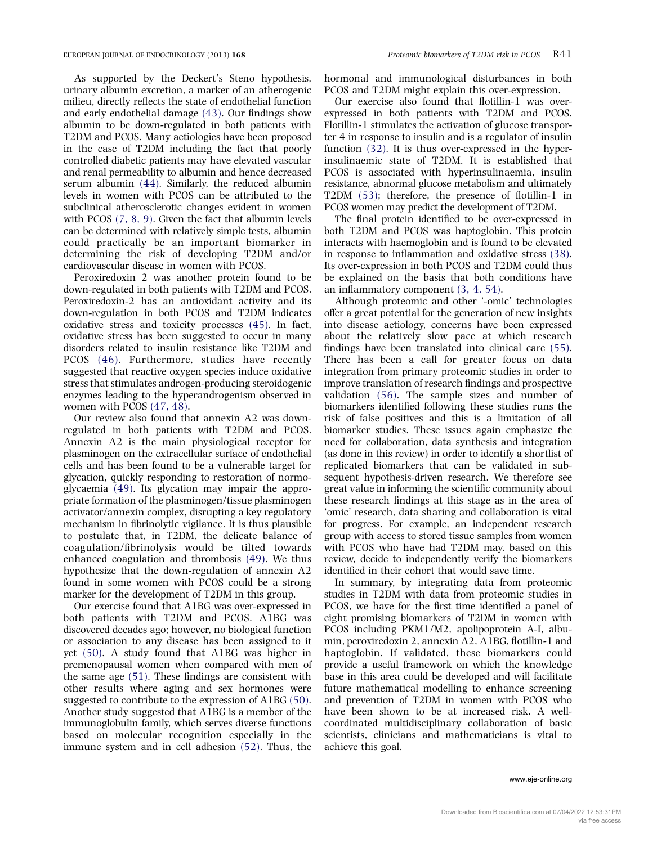As supported by the Deckert's Steno hypothesis, urinary albumin excretion, a marker of an atherogenic milieu, directly reflects the state of endothelial function and early endothelial damage [\(43\)](#page-10-0). Our findings show albumin to be down-regulated in both patients with T2DM and PCOS. Many aetiologies have been proposed in the case of T2DM including the fact that poorly controlled diabetic patients may have elevated vascular and renal permeability to albumin and hence decreased serum albumin [\(44\)](#page-10-0). Similarly, the reduced albumin levels in women with PCOS can be attributed to the subclinical atherosclerotic changes evident in women with PCOS [\(7, 8, 9\).](#page-9-0) Given the fact that albumin levels can be determined with relatively simple tests, albumin could practically be an important biomarker in determining the risk of developing T2DM and/or cardiovascular disease in women with PCOS.

Peroxiredoxin 2 was another protein found to be down-regulated in both patients with T2DM and PCOS. Peroxiredoxin-2 has an antioxidant activity and its down-regulation in both PCOS and T2DM indicates oxidative stress and toxicity processes [\(45\)](#page-10-0). In fact, oxidative stress has been suggested to occur in many disorders related to insulin resistance like T2DM and PCOS [\(46\)](#page-10-0). Furthermore, studies have recently suggested that reactive oxygen species induce oxidative stress that stimulates androgen-producing steroidogenic enzymes leading to the hyperandrogenism observed in women with PCOS [\(47, 48\)](#page-10-0).

Our review also found that annexin A2 was downregulated in both patients with T2DM and PCOS. Annexin A2 is the main physiological receptor for plasminogen on the extracellular surface of endothelial cells and has been found to be a vulnerable target for glycation, quickly responding to restoration of normoglycaemia [\(49\)](#page-10-0). Its glycation may impair the appropriate formation of the plasminogen/tissue plasminogen activator/annexin complex, disrupting a key regulatory mechanism in fibrinolytic vigilance. It is thus plausible to postulate that, in T2DM, the delicate balance of coagulation/fibrinolysis would be tilted towards enhanced coagulation and thrombosis [\(49\)](#page-10-0). We thus hypothesize that the down-regulation of annexin A2 found in some women with PCOS could be a strong marker for the development of T2DM in this group.

Our exercise found that A1BG was over-expressed in both patients with T2DM and PCOS. A1BG was discovered decades ago; however, no biological function or association to any disease has been assigned to it yet [\(50\).](#page-10-0) A study found that A1BG was higher in premenopausal women when compared with men of the same age [\(51\).](#page-10-0) These findings are consistent with other results where aging and sex hormones were suggested to contribute to the expression of A1BG [\(50\)](#page-10-0). Another study suggested that A1BG is a member of the immunoglobulin family, which serves diverse functions based on molecular recognition especially in the immune system and in cell adhesion [\(52\)](#page-10-0). Thus, the hormonal and immunological disturbances in both PCOS and T2DM might explain this over-expression.

Our exercise also found that flotillin-1 was overexpressed in both patients with T2DM and PCOS. Flotillin-1 stimulates the activation of glucose transporter 4 in response to insulin and is a regulator of insulin function [\(32\).](#page-10-0) It is thus over-expressed in the hyperinsulinaemic state of T2DM. It is established that PCOS is associated with hyperinsulinaemia, insulin resistance, abnormal glucose metabolism and ultimately T2DM [\(53\)](#page-10-0); therefore, the presence of flotillin-1 in PCOS women may predict the development of T2DM.

The final protein identified to be over-expressed in both T2DM and PCOS was haptoglobin. This protein interacts with haemoglobin and is found to be elevated in response to inflammation and oxidative stress [\(38\)](#page-10-0). Its over-expression in both PCOS and T2DM could thus be explained on the basis that both conditions have an inflammatory component [\(3, 4, 54\).](#page-9-0)

Although proteomic and other '-omic' technologies offer a great potential for the generation of new insights into disease aetiology, concerns have been expressed about the relatively slow pace at which research findings have been translated into clinical care [\(55\)](#page-10-0). There has been a call for greater focus on data integration from primary proteomic studies in order to improve translation of research findings and prospective validation [\(56\).](#page-10-0) The sample sizes and number of biomarkers identified following these studies runs the risk of false positives and this is a limitation of all biomarker studies. These issues again emphasize the need for collaboration, data synthesis and integration (as done in this review) in order to identify a shortlist of replicated biomarkers that can be validated in subsequent hypothesis-driven research. We therefore see great value in informing the scientific community about these research findings at this stage as in the area of 'omic' research, data sharing and collaboration is vital for progress. For example, an independent research group with access to stored tissue samples from women with PCOS who have had T2DM may, based on this review, decide to independently verify the biomarkers identified in their cohort that would save time.

In summary, by integrating data from proteomic studies in T2DM with data from proteomic studies in PCOS, we have for the first time identified a panel of eight promising biomarkers of T2DM in women with PCOS including PKM1/M2, apolipoprotein A-I, albumin, peroxiredoxin 2, annexin A2, A1BG, flotillin-1 and haptoglobin. If validated, these biomarkers could provide a useful framework on which the knowledge base in this area could be developed and will facilitate future mathematical modelling to enhance screening and prevention of T2DM in women with PCOS who have been shown to be at increased risk. A wellcoordinated multidisciplinary collaboration of basic scientists, clinicians and mathematicians is vital to achieve this goal.

#### www.eje-online.org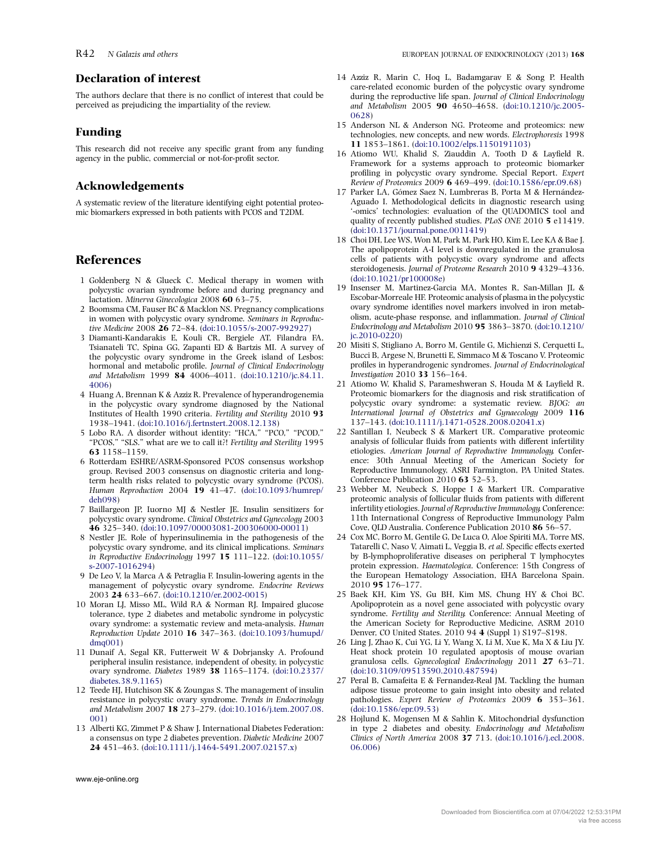# <span id="page-9-0"></span>Declaration of interest

The authors declare that there is no conflict of interest that could be perceived as prejudicing the impartiality of the review.

#### Funding

This research did not receive any specific grant from any funding agency in the public, commercial or not-for-profit sector.

# Acknowledgements

A systematic review of the literature identifying eight potential proteomic biomarkers expressed in both patients with PCOS and T2DM.

# References

- 1 Goldenberg N & Glueck C. Medical therapy in women with polycystic ovarian syndrome before and during pregnancy and lactation. Minerva Ginecologica 2008 60 63–75.
- 2 Boomsma CM, Fauser BC & Macklon NS. Pregnancy complications in women with polycystic ovary syndrome. Seminars in Reproductive Medicine 2008 26 72–84. ([doi:10.1055/s-2007-992927](http://dx.doi.org/10.1055/s-2007-992927))
- 3 Diamanti-Kandarakis E, Kouli CR, Bergiele AT, Filandra FA, Tsianateli TC, Spina GG, Zapanti ED & Bartzis MI. A survey of the polycystic ovary syndrome in the Greek island of Lesbos: hormonal and metabolic profile. Journal of Clinical Endocrinology and Metabolism 1999 84 4006–4011. ([doi:10.1210/jc.84.11.](http://dx.doi.org/10.1210/jc.84.11.4006) [4006](http://dx.doi.org/10.1210/jc.84.11.4006))
- 4 Huang A, Brennan K & Azziz R. Prevalence of hyperandrogenemia in the polycystic ovary syndrome diagnosed by the National Institutes of Health 1990 criteria. Fertility and Sterility 2010 93 1938–1941. ([doi:10.1016/j.fertnstert.2008.12.138](http://dx.doi.org/10.1016/j.fertnstert.2008.12.138))
- 5 Lobo RA. A disorder without identity: "HCA," "PCO," "PCOD," "PCOS," "SLS." what are we to call it?! Fertility and Sterility 1995 63 1158–1159.
- 6 Rotterdam ESHRE/ASRM-Sponsored PCOS consensus workshop group. Revised 2003 consensus on diagnostic criteria and longterm health risks related to polycystic ovary syndrome (PCOS). Human Reproduction 2004 19 41–47. [\(doi:10.1093/humrep/](http://dx.doi.org/10.1093/humrep/deh098) [deh098\)](http://dx.doi.org/10.1093/humrep/deh098)
- 7 Baillargeon JP, Iuorno MJ & Nestler JE. Insulin sensitizers for polycystic ovary syndrome. Clinical Obstetrics and Gynecology 2003 46 325–340. ([doi:10.1097/00003081-200306000-00011](http://dx.doi.org/10.1097/00003081-200306000-00011))
- 8 Nestler JE. Role of hyperinsulinemia in the pathogenesis of the polycystic ovary syndrome, and its clinical implications. Seminars in Reproductive Endocrinology 1997 15 111–122. [\(doi:10.1055/](http://dx.doi.org/10.1055/s-2007-1016294) [s-2007-1016294](http://dx.doi.org/10.1055/s-2007-1016294))
- 9 De Leo V, la Marca A & Petraglia F. Insulin-lowering agents in the management of polycystic ovary syndrome. Endocrine Reviews 2003 24 633–667. ([doi:10.1210/er.2002-0015\)](http://dx.doi.org/10.1210/er.2002-0015)
- 10 Moran LJ, Misso ML, Wild RA & Norman RJ. Impaired glucose tolerance, type 2 diabetes and metabolic syndrome in polycystic ovary syndrome: a systematic review and meta-analysis. Human Reproduction Update 2010 16 347–363. [\(doi:10.1093/humupd/](http://dx.doi.org/10.1093/humupd/dmq001)  $dma(01)$
- 11 Dunaif A, Segal KR, Futterweit W & Dobrjansky A. Profound peripheral insulin resistance, independent of obesity, in polycystic ovary syndrome. Diabetes 1989 38 1165–1174. [\(doi:10.2337/](http://dx.doi.org/10.2337/diabetes.38.9.1165) [diabetes.38.9.1165\)](http://dx.doi.org/10.2337/diabetes.38.9.1165)
- 12 Teede HJ, Hutchison SK & Zoungas S. The management of insulin resistance in polycystic ovary syndrome. Trends in Endocrinology and Metabolism 2007 18 273–279. [\(doi:10.1016/j.tem.2007.08.](http://dx.doi.org/10.1016/j.tem.2007.08.001) [001](http://dx.doi.org/10.1016/j.tem.2007.08.001))
- 13 Alberti KG, Zimmet P & Shaw J. International Diabetes Federation: a consensus on type 2 diabetes prevention. Diabetic Medicine 2007 24 451–463. ([doi:10.1111/j.1464-5491.2007.02157.x\)](http://dx.doi.org/10.1111/j.1464-5491.2007.02157.x)
- 14 Azziz R, Marin C, Hoq L, Badamgarav E & Song P. Health care-related economic burden of the polycystic ovary syndrome during the reproductive life span. Journal of Clinical Endocrinology and Metabolism 2005 90 4650–4658. ([doi:10.1210/jc.2005-](http://dx.doi.org/10.1210/jc.2005-0628) [0628](http://dx.doi.org/10.1210/jc.2005-0628))
- 15 Anderson NL & Anderson NG. Proteome and proteomics: new technologies, new concepts, and new words. Electrophoresis 1998 11 1853–1861. [\(doi:10.1002/elps.1150191103](http://dx.doi.org/10.1002/elps.1150191103))
- 16 Atiomo WU, Khalid S, Ziauddin A, Tooth D & Layfield R. Framework for a systems approach to proteomic biomarker profiling in polycystic ovary syndrome. Special Report. Expert Review of Proteomics 2009 6 469–499. [\(doi:10.1586/epr.09.68](http://dx.doi.org/10.1586/epr.09.68))
- 17 Parker LA, Gómez Saez N, Lumbreras B, Porta M & Hernández-Aguado I. Methodological deficits in diagnostic research using '-omics' technologies: evaluation of the QUADOMICS tool and quality of recently published studies. PLoS ONE 2010 5 e11419. [\(doi:10.1371/journal.pone.0011419\)](http://dx.doi.org/10.1371/journal.pone.0011419)
- 18 Choi DH, Lee WS, Won M, Park M, Park HO, Kim E, Lee KA & Bae J. The apolipoprotein A-I level is downregulated in the granulosa cells of patients with polycystic ovary syndrome and affects steroidogenesis. Journal of Proteome Research 2010 9 4329–4336. [\(doi:10.1021/pr100008e\)](http://dx.doi.org/10.1021/pr100008e)
- 19 Insenser M, Martinez-Garcia MA, Montes R, San-Millan JL & Escobar-Morreale HF. Proteomic analysis of plasma in the polycystic ovary syndrome identifies novel markers involved in iron metabolism, acute-phase response, and inflammation. Journal of Clinical Endocrinology and Metabolism 2010 95 3863–3870. [\(doi:10.1210/](http://dx.doi.org/10.1210/jc.2010-0220) [jc.2010-0220\)](http://dx.doi.org/10.1210/jc.2010-0220)
- 20 Misiti S, Stigliano A, Borro M, Gentile G, Michienzi S, Cerquetti L, Bucci B, Argese N, Brunetti E, Simmaco M & Toscano V. Proteomic profiles in hyperandrogenic syndromes. Journal of Endocrinological Investigation 2010 33 156–164.
- 21 Atiomo W, Khalid S, Parameshweran S, Houda M & Layfield R. Proteomic biomarkers for the diagnosis and risk stratification of polycystic ovary syndrome: a systematic review. BJOG: an International Journal of Obstetrics and Gynaecology 2009 116 137–143. [\(doi:10.1111/j.1471-0528.2008.02041.x](http://dx.doi.org/10.1111/j.1471-0528.2008.02041.x))
- 22 Santillan I, Neubeck S & Markert UR. Comparative proteomic analysis of follicular fluids from patients with different infertility etiologies. American Journal of Reproductive Immunology. Conference: 30th Annual Meeting of the American Society for Reproductive Immunology, ASRI Farmington, PA United States. Conference Publication 2010 63 52–53.
- 23 Webber M, Neubeck S, Hoppe I & Markert UR. Comparative proteomic analysis of follicular fluids from patients with different infertility etiologies. Journal of Reproductive Immunology. Conference: 11th International Congress of Reproductive Immunology Palm Cove, QLD Australia. Conference Publication 2010 86 56–57.
- 24 Cox MC, Borro M, Gentile G, De Luca O, Aloe Spiriti MA, Torre MS, Tatarelli C, Naso V, Aimati L, Veggia B, et al. Specific effects exerted by B-lymphoproliferative diseases on peripheral T lymphocytes protein expression. Haematologica. Conference: 15th Congress of the European Hematology Association, EHA Barcelona Spain. 2010 95 176–177.
- 25 Baek KH, Kim YS, Gu BH, Kim MS, Chung HY & Choi BC. Apolipoprotein as a novel gene associated with polycystic ovary syndrome. Fertility and Sterility. Conference: Annual Meeting of the American Society for Reproductive Medicine, ASRM 2010 Denver, CO United States. 2010 94 4 (Suppl 1) S197–S198.
- 26 Ling J, Zhao K, Cui YG, Li Y, Wang X, Li M, Xue K, Ma X & Liu JY. Heat shock protein 10 regulated apoptosis of mouse ovarian granulosa cells. Gynecological Endocrinology 2011 27 63–71. [\(doi:10.3109/09513590.2010.487594\)](http://dx.doi.org/10.3109/09513590.2010.487594)
- 27 Peral B, Camafeita E & Fernandez-Real JM. Tackling the human adipose tissue proteome to gain insight into obesity and related pathologies. Expert Review of Proteomics 2009 6 353–361. [\(doi:10.1586/epr.09.53](http://dx.doi.org/10.1586/epr.09.53))
- 28 Hojlund K, Mogensen M & Sahlin K. Mitochondrial dysfunction in type 2 diabetes and obesity. Endocrinology and Metabolism Clinics of North America 2008 37 713. [\(doi:10.1016/j.ecl.2008.](http://dx.doi.org/10.1016/j.ecl.2008.06.006) [06.006\)](http://dx.doi.org/10.1016/j.ecl.2008.06.006)